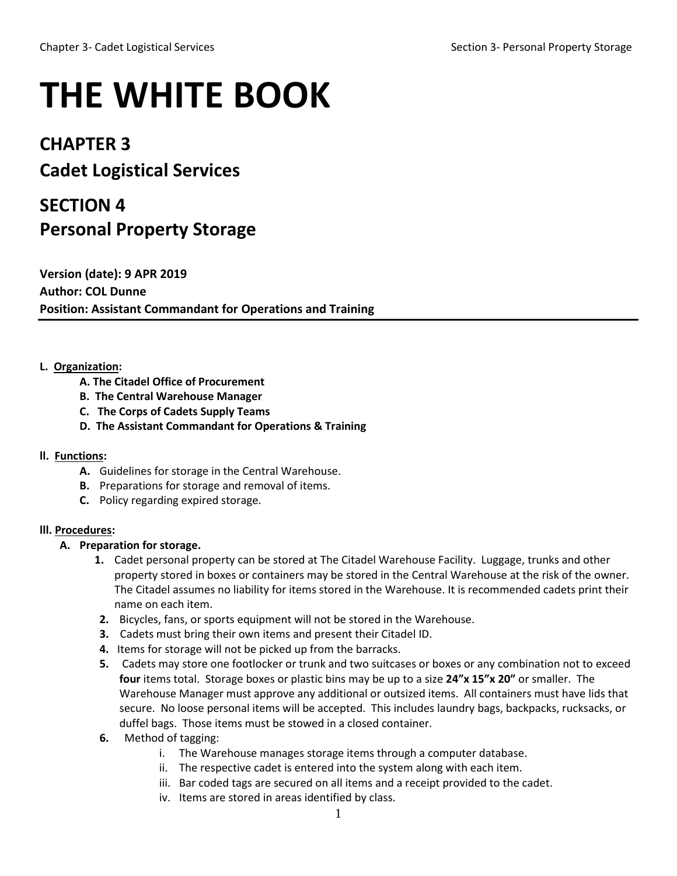# **THE WHITE BOOK**

### **CHAPTER 3**

## **Cadet Logistical Services**

## **SECTION 4 Personal Property Storage**

**Version (date): 9 APR 2019 Author: COL Dunne Position: Assistant Commandant for Operations and Training**

#### **L. Organization:**

- **A. The Citadel Office of Procurement**
- **B. The Central Warehouse Manager**
- **C. The Corps of Cadets Supply Teams**
- **D. The Assistant Commandant for Operations & Training**

#### **ll. Functions:**

- **A.** Guidelines for storage in the Central Warehouse.
- **B.** Preparations for storage and removal of items.
- **C.** Policy regarding expired storage.

#### **lll. Procedures:**

#### **A. Preparation for storage.**

- **1.** Cadet personal property can be stored at The Citadel Warehouse Facility. Luggage, trunks and other property stored in boxes or containers may be stored in the Central Warehouse at the risk of the owner. The Citadel assumes no liability for items stored in the Warehouse. It is recommended cadets print their name on each item.
- **2.** Bicycles, fans, or sports equipment will not be stored in the Warehouse.
- **3.** Cadets must bring their own items and present their Citadel ID.
- **4.** Items for storage will not be picked up from the barracks.
- **5.** Cadets may store one footlocker or trunk and two suitcases or boxes or any combination not to exceed **four** items total. Storage boxes or plastic bins may be up to a size **24"x 15"x 20"** or smaller. The Warehouse Manager must approve any additional or outsized items. All containers must have lids that secure. No loose personal items will be accepted. This includes laundry bags, backpacks, rucksacks, or duffel bags. Those items must be stowed in a closed container.
- **6.** Method of tagging:
	- i. The Warehouse manages storage items through a computer database.
	- ii. The respective cadet is entered into the system along with each item.
	- iii. Bar coded tags are secured on all items and a receipt provided to the cadet.
	- iv. Items are stored in areas identified by class.